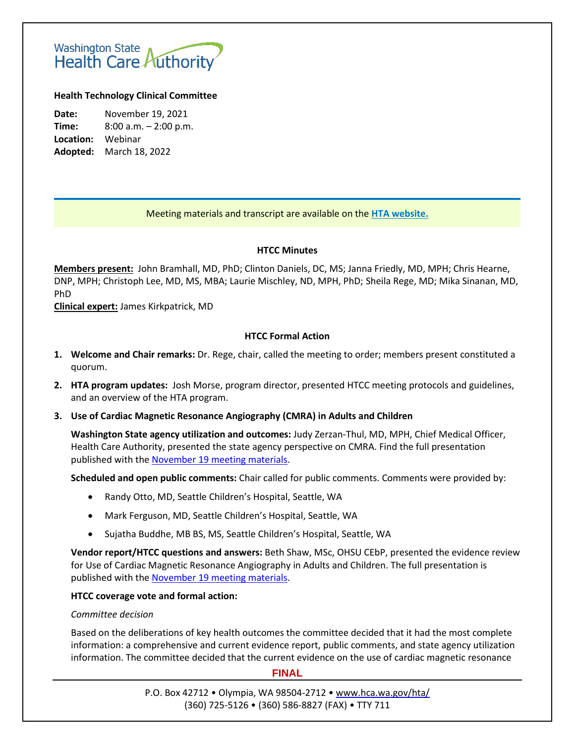# Washington State<br>Health Care Authority

### **Health Technology Clinical Committee**

**Date:** November 19, 2021 **Time:** 8:00 a.m. – 2:00 p.m. **Location:** Webinar **Adopted:** March 18, 2022

## Meeting materials and transcript are available on the **[HTA website.](http://www.hca.wa.gov/about-hca/health-technology-assessment/meetings-and-materials)**

#### **HTCC Minutes**

**Members present:** John Bramhall, MD, PhD; Clinton Daniels, DC, MS; Janna Friedly, MD, MPH; Chris Hearne, DNP, MPH; Christoph Lee, MD, MS, MBA; Laurie Mischley, ND, MPH, PhD; Sheila Rege, MD; Mika Sinanan, MD, PhD

**Clinical expert:** James Kirkpatrick, MD

#### **HTCC Formal Action**

- **1. Welcome and Chair remarks:** Dr. Rege, chair, called the meeting to order; members present constituted a quorum.
- **2. HTA program updates:** Josh Morse, program director, presented HTCC meeting protocols and guidelines, and an overview of the HTA program.
- **3. Use of Cardiac Magnetic Resonance Angiography (CMRA) in Adults and Children**

**Washington State agency utilization and outcomes:** Judy Zerzan-Thul, MD, MPH, Chief Medical Officer, Health Care Authority, presented the state agency perspective on CMRA. Find the full presentation published with the November 19 [meeting materials.](https://www.hca.wa.gov/about-hca/health-technology-assessment/meetings-and-materials)

**Scheduled and open public comments:** Chair called for public comments. Comments were provided by:

- Randy Otto, MD, Seattle Children's Hospital, Seattle, WA
- Mark Ferguson, MD, Seattle Children's Hospital, Seattle, WA
- Sujatha Buddhe, MB BS, MS, Seattle Children's Hospital, Seattle, WA

**Vendor report/HTCC questions and answers:** Beth Shaw, MSc, OHSU CEbP, presented the evidence review for Use of Cardiac Magnetic Resonance Angiography in Adults and Children. The full presentation is published with the November 19 [meeting materials.](https://www.hca.wa.gov/about-hca/health-technology-assessment/meetings-and-materials)

#### **HTCC coverage vote and formal action:**

#### *Committee decision*

Based on the deliberations of key health outcomes the committee decided that it had the most complete information: a comprehensive and current evidence report, public comments, and state agency utilization information. The committee decided that the current evidence on the use of cardiac magnetic resonance

**FINAL**

P.O. Box 42712 • Olympia, WA 98504-2712 • [www.hca.wa.gov/hta/](http://www.hca.wa.gov/hta/) (360) 725-5126 • (360) 586-8827 (FAX) • TTY 711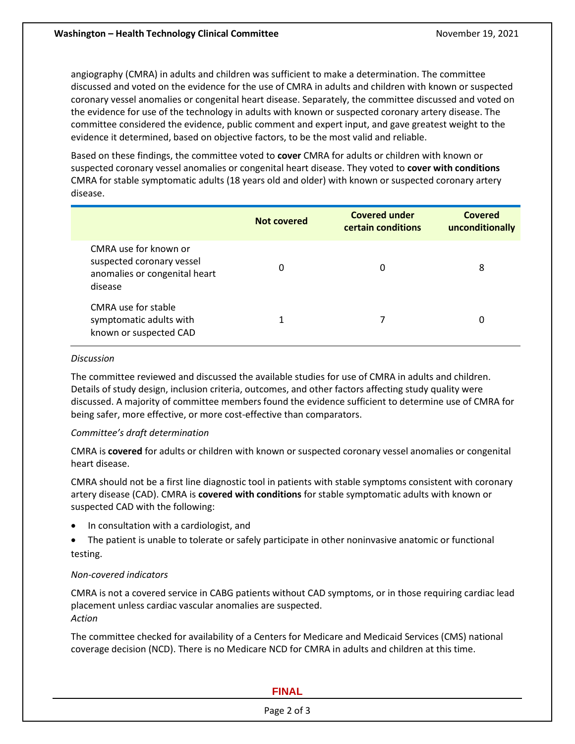angiography (CMRA) in adults and children was sufficient to make a determination. The committee discussed and voted on the evidence for the use of CMRA in adults and children with known or suspected coronary vessel anomalies or congenital heart disease. Separately, the committee discussed and voted on the evidence for use of the technology in adults with known or suspected coronary artery disease. The committee considered the evidence, public comment and expert input, and gave greatest weight to the evidence it determined, based on objective factors, to be the most valid and reliable.

Based on these findings, the committee voted to **cover** CMRA for adults or children with known or suspected coronary vessel anomalies or congenital heart disease. They voted to **cover with conditions** CMRA for stable symptomatic adults (18 years old and older) with known or suspected coronary artery disease.

|                                                                                                | Not covered | <b>Covered under</b><br>certain conditions | Covered<br>unconditionally |
|------------------------------------------------------------------------------------------------|-------------|--------------------------------------------|----------------------------|
| CMRA use for known or<br>suspected coronary vessel<br>anomalies or congenital heart<br>disease | 0           | 0                                          | 8                          |
| CMRA use for stable<br>symptomatic adults with<br>known or suspected CAD                       |             |                                            | 0                          |

#### *Discussion*

The committee reviewed and discussed the available studies for use of CMRA in adults and children. Details of study design, inclusion criteria, outcomes, and other factors affecting study quality were discussed. A majority of committee members found the evidence sufficient to determine use of CMRA for being safer, more effective, or more cost-effective than comparators.

#### *Committee's draft determination*

CMRA is **covered** for adults or children with known or suspected coronary vessel anomalies or congenital heart disease.

CMRA should not be a first line diagnostic tool in patients with stable symptoms consistent with coronary artery disease (CAD). CMRA is **covered with conditions** for stable symptomatic adults with known or suspected CAD with the following:

- In consultation with a cardiologist, and
- The patient is unable to tolerate or safely participate in other noninvasive anatomic or functional testing.

#### *Non-covered indicators*

CMRA is not a covered service in CABG patients without CAD symptoms, or in those requiring cardiac lead placement unless cardiac vascular anomalies are suspected. *Action* 

The committee checked for availability of a Centers for Medicare and Medicaid Services (CMS) national coverage decision (NCD). There is no Medicare NCD for CMRA in adults and children at this time.

#### **FINAL**